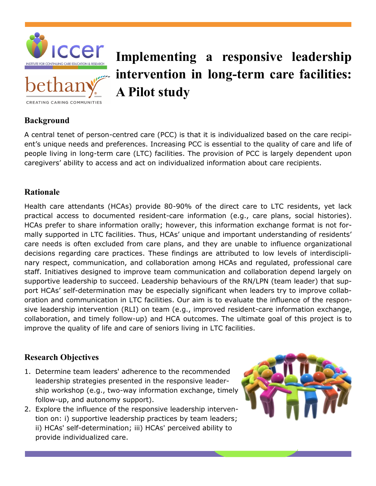



# **Implementing a responsive leadership intervention in long-term care facilities: A Pilot study**

### **Background**

A central tenet of person-centred care (PCC) is that it is individualized based on the care recipient's unique needs and preferences. Increasing PCC is essential to the quality of care and life of people living in long-term care (LTC) facilities. The provision of PCC is largely dependent upon caregivers' ability to access and act on individualized information about care recipients.

### **Rationale**

Health care attendants (HCAs) provide 80-90% of the direct care to LTC residents, yet lack practical access to documented resident-care information (e.g., care plans, social histories). HCAs prefer to share information orally; however, this information exchange format is not formally supported in LTC facilities. Thus, HCAs' unique and important understanding of residents' care needs is often excluded from care plans, and they are unable to influence organizational decisions regarding care practices. These findings are attributed to low levels of interdisciplinary respect, communication, and collaboration among HCAs and regulated, professional care staff. Initiatives designed to improve team communication and collaboration depend largely on supportive leadership to succeed. Leadership behaviours of the RN/LPN (team leader) that support HCAs' self-determination may be especially significant when leaders try to improve collaboration and communication in LTC facilities. Our aim is to evaluate the influence of the responsive leadership intervention (RLI) on team (e.g., improved resident-care information exchange, collaboration, and timely follow-up) and HCA outcomes. The ultimate goal of this project is to improve the quality of life and care of seniors living in LTC facilities.

## **Research Objectives**

- 1. Determine team leaders' adherence to the recommended leadership strategies presented in the responsive leadership workshop (e.g., two-way information exchange, timely follow-up, and autonomy support).
- 2. Explore the influence of the responsive leadership intervention on: i) supportive leadership practices by team leaders; ii) HCAs' self-determination; iii) HCAs' perceived ability to provide individualized care.